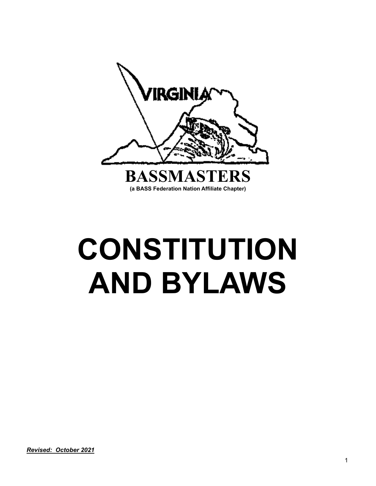

# **CONSTITUTION AND BYLAWS**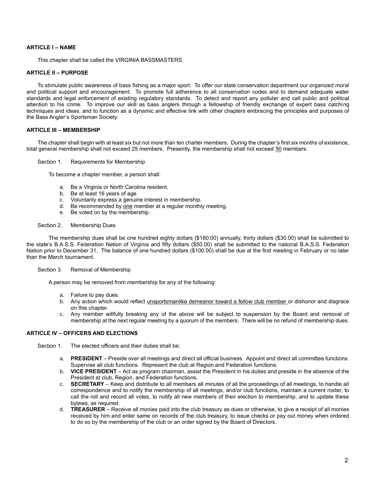# **ARTICLE I – NAME**

This chapter shall be called the VIRGINIA BASSMASTERS.

## **ARTICLE II – PURPOSE**

To stimulate public awareness of bass fishing as a major sport. To offer our state conservation department our organized moral and political support and encouragement. To promote full adherence to all conservation codes and to demand adequate water standards and legal enforcement of existing regulatory standards. To detect and report any polluter and call public and political attention to his crime. To improve our skill as bass anglers through a fellowship of friendly exchange of expert bass catching techniques and ideas, and to function as a dynamic and effective link with other chapters embracing the principles and purposes of the Bass Angler's Sportsman Society.

## **ARTICLE III – MEMBERSHIP**

The chapter shall begin with at least six but not more than ten charter members. During the chapter's first six months of existence, total general membership shall not exceed 25 members. Presently, the membership shall not exceed 50 members.

#### Section 1. Requirements for Membership

To become a chapter member, a person shall:

- a. Be a Virginia or North Carolina resident.
- b. Be at least 16 years of age.
- c. Voluntarily express a genuine interest in membership.
- d. Be recommended by one member at a regular monthly meeting.
- e. Be voted on by the membership.

#### Section 2. Membership Dues

The membership dues shall be one hundred eighty dollars (\$180.00) annually, thirty dollars (\$30.00) shall be submitted to the state's B.A.S.S. Federation Nation of Virginia and fifty dollars (\$50.00) shall be submitted to the national B.A.S.S. Federation Nation prior to December 31. The balance of one hundred dollars (\$100.00) shall be due at the first meeting in February or no later than the March tournament.

## Section 3. Removal of Membership

A person may be removed from membership for any of the following:

- a. Failure to pay dues.
- b. Any action which would reflect unsportsmanlike demeanor toward a fellow club member or dishonor and disgrace on this chapter.
- c. Any member willfully breaking any of the above will be subject to suspension by the Board and removal of membership at the next regular meeting by a quorum of the members. There will be no refund of membership dues.

# **ARTICLE IV – OFFICERS AND ELECTIONS**

Section 1. The elected officers and their duties shall be:

- a. **PRESIDENT** Preside over all meetings and direct all official business. Appoint and direct all committee functions. Supervise all club functions. Represent the club at Region and Federation functions.
- b. **VICE PRESIDENT** Act as program chairman, assist the President in his duties and preside in the absence of the President at club, Region, and Federation functions.
- c. **SECRETARY** Keep and distribute to all members all minutes of all the proceedings of all meetings, to handle all correspondence and to notify the membership of all meetings, and/or club functions, maintain a current roster, to call the roll and record all votes, to notify all new members of their election to membership, and to update these bylaws, as required.
- d. **TREASURER** Receive all monies paid into the club treasury as dues or otherwise, to give a receipt of all monies received by him and enter same on records of the club treasury, to issue checks or pay out money when ordered to do so by the membership of the club or an order signed by the Board of Directors.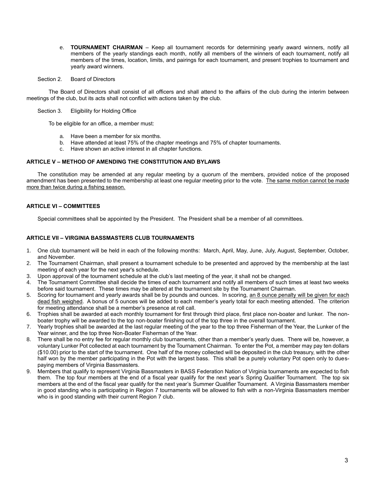- e. **TOURNAMENT CHAIRMAN** Keep all tournament records for determining yearly award winners, notify all members of the yearly standings each month, notify all members of the winners of each tournament, notify all members of the times, location, limits, and pairings for each tournament, and present trophies to tournament and yearly award winners.
- Section 2. Board of Directors

The Board of Directors shall consist of all officers and shall attend to the affairs of the club during the interim between meetings of the club, but its acts shall not conflict with actions taken by the club.

Section 3. Eligibility for Holding Office

To be eligible for an office, a member must:

- a. Have been a member for six months.
- b. Have attended at least 75% of the chapter meetings and 75% of chapter tournaments.
- c. Have shown an active interest in all chapter functions.

# **ARTICLE V – METHOD OF AMENDING THE CONSTITUTION AND BYLAWS**

The constitution may be amended at any regular meeting by a quorum of the members, provided notice of the proposed amendment has been presented to the membership at least one regular meeting prior to the vote. The same motion cannot be made more than twice during a fishing season.

# **ARTICLE VI – COMMITTEES**

Special committees shall be appointed by the President. The President shall be a member of all committees.

## **ARTICLE VII – VIRGINIA BASSMASTERS CLUB TOURNAMENTS**

- 1. One club tournament will be held in each of the following months: March, April, May, June, July, August, September, October, and November.
- 2. The Tournament Chairman, shall present a tournament schedule to be presented and approved by the membership at the last meeting of each year for the next year's schedule.
- 3. Upon approval of the tournament schedule at the club's last meeting of the year, it shall not be changed.
- 4. The Tournament Committee shall decide the times of each tournament and notify all members of such times at least two weeks before said tournament. These times may be altered at the tournament site by the Tournament Chairman.
- 5. Scoring for tournament and yearly awards shall be by pounds and ounces. In scoring, an 8 ounce penalty will be given for each dead fish weighed. A bonus of 5 ounces will be added to each member's yearly total for each meeting attended. The criterion for meeting attendance shall be a member's presence at roll call.
- 6. Trophies shall be awarded at each monthly tournament for first through third place, first place non-boater and lunker. The nonboater trophy will be awarded to the top non-boater finishing out of the top three in the overall tournament.
- 7. Yearly trophies shall be awarded at the last regular meeting of the year to the top three Fisherman of the Year, the Lunker of the Year winner, and the top three Non-Boater Fisherman of the Year.
- 8. There shall be no entry fee for regular monthly club tournaments, other than a member's yearly dues. There will be, however, a voluntary Lunker Pot collected at each tournament by the Tournament Chairman. To enter the Pot, a member may pay ten dollars (\$10.00) prior to the start of the tournament. One half of the money collected will be deposited in the club treasury, with the other half won by the member participating in the Pot with the largest bass. This shall be a purely voluntary Pot open only to duespaying members of Virginia Bassmasters.
- 9. Members that qualify to represent Virginia Bassmasters in BASS Federation Nation of Virginia tournaments are expected to fish them. The top four members at the end of a fiscal year qualify for the next year's Spring Qualifier Tournament. The top six members at the end of the fiscal year qualify for the next year's Summer Qualifier Tournament. A Virginia Bassmasters member in good standing who is participating in Region 7 tournaments will be allowed to fish with a non-Virginia Bassmasters member who is in good standing with their current Region 7 club.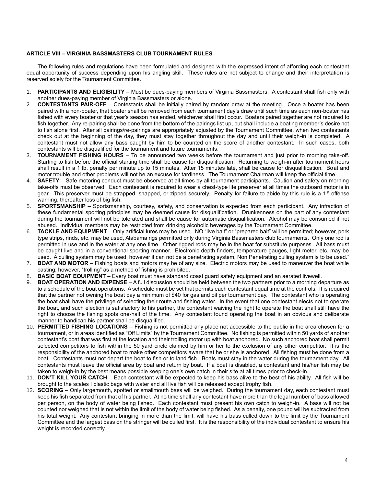## **ARTICLE VIII – VIRGINIA BASSMASTERS CLUB TOURNAMENT RULES**

The following rules and regulations have been formulated and designed with the expressed intent of affording each contestant equal opportunity of success depending upon his angling skill. These rules are not subject to change and their interpretation is reserved solely for the Tournament Committee.

- 1. **PARTICIPANTS AND ELIGIBILITY** Must be dues-paying members of Virginia Bassmasters. A contestant shall fish only with another dues-paying member of Virginia Bassmasters or alone.
- 2. **CONTESTANTS PAIR-OFF** Contestants shall be initially paired by random draw at the meeting. Once a boater has been paired with a non-boater, that boater shall be removed from each tournament day's draw until such time as each non-boater has fished with every boater or that year's season has ended, whichever shall first occur. Boaters paired together are not required to fish together. Any re-pairing shall be done from the bottom of the pairings list up, but shall include a boating member's desire not to fish alone first. After all pairings/re-pairings are appropriately adjusted by the Tournament Committee, when two contestants check out at the beginning of the day, they must stay together throughout the day and until their weigh-in is completed. A contestant must not allow any bass caught by him to be counted on the score of another contestant. In such cases, both contestants will be disqualified for the tournament and future tournaments.
- 3. **TOURNAMENT FISHING HOURS** To be announced two weeks before the tournament and just prior to morning take-off. Starting to fish before the official starting time shall be cause for disqualification. Returning to weigh-in after tournament hours shall result in a 1 lb. penalty per minute up to 15 minutes. After 15 minutes late, shall be cause for disqualification. Boat and motor trouble and other problems will not be an excuse for tardiness. The Tournament Chairman will keep the official time.
- 4. **SAFETY** Safe motoring conduct must be observed at all times by all tournament participants. Caution and safety on morning take-offs must be observed. Each contestant is required to wear a chest-type life preserver at all times the outboard motor is in gear. This preserver must be strapped, snapped, or zipped securely. Penalty for failure to abide by this rule is a 1<sup>st</sup> offense warning, thereafter loss of big fish.
- 5. **SPORTSMANSHIP** Sportsmanship, courtesy, safety, and conservation is expected from each participant. Any infraction of these fundamental sporting principles may be deemed cause for disqualification. Drunkenness on the part of any contestant during the tournament will not be tolerated and shall be cause for automatic disqualification. Alcohol may be consumed if not abused. Individual members may be restricted from drinking alcoholic beverages by the Tournament Committee.
- 6. **TACKLE AND EQUIPMENT** Only artificial lures may be used. NO "live bait" or "prepared bait" will be permitted; however, pork type strips, rinds, etc. may be used, Alabama rigs permitted only during Virginia Bassmasters club tournaments. Only one rod is permitted in use and in the water at any one time. Other rigged rods may be in the boat for substitute purposes. All bass must be caught live and in a conventional sporting manner. Electronic depth finders, temperature gauges, light meter, etc. may be used. A culling system may be used, however it can not be a penetrating system, Non Penetrating culling system is to be used."
- 7. **BOAT AND MOTOR** Fishing boats and motors may be of any size. Electric motors may be used to maneuver the boat while casting; however, "trolling" as a method of fishing is prohibited.
- 8. **BASIC BOAT EQUIPMENT** Every boat must have standard coast guard safety equipment and an aerated livewell.
- 9. **BOAT OPERATION AND EXPENSE** A full discussion should be held between the two partners prior to a morning departure as to a schedule of the boat operations. A schedule must be set that permits each contestant equal time at the controls. It is required that the partner not owning the boat pay a minimum of \$40 for gas and oil per tournament day. The contestant who is operating the boat shall have the privilege of selecting their route and fishing water. In the event that one contestant elects not to operate the boat, and such election is satisfactory to his partner, the contestant waiving the right to operate the boat shall still have the right to choose the fishing spots one-half of the time. Any contestant found operating the boat in an obvious and deliberate manner to handicap his partner shall be disqualified.
- 10. **PERMITTED FISHING LOCATIONS** Fishing is not permitted any place not accessible to the public in the area chosen for a tournament, or in areas identified as "Off Limits" by the Tournament Committee. No fishing is permitted within 50 yards of another contestant's boat that was first at the location and their trolling motor up with boat anchored. No such anchored boat shall permit selected competitors to fish within the 50 yard circle claimed by him or her to the exclusion of any other competitor. It is the responsibility of the anchored boat to make other competitors aware that he or she is anchored. All fishing must be done from a boat. Contestants must not depart the boat to fish or to land fish. Boats must stay in the water during the tournament day. All contestants must leave the official area by boat and return by boat. If a boat is disabled, a contestant and his/her fish may be taken to weigh-in by the best means possible keeping one's own catch in their site at all times prior to check-in.
- 11. **DON'T KILL YOUR CATCH** Each contestant will be expected to keep his bass alive to the best of his ability. All fish will be brought to the scales I plastic bags with water and all live fish will be released except trophy fish.
- 12. **SCORING** Only largemouth, spotted or smallmouth bass will be weighed. During the tournament day, each contestant must keep his fish separated from that of his partner. At no time shall any contestant have more than the legal number of bass allowed per person, on the body of water being fished. Each contestant must present his own catch to weigh-in. A bass will not be counted nor weighed that is not within the limit of the body of water being fished. As a penalty, one pound will be subtracted from his total weight. Any contestant bringing in more than the limit, will have his bass culled down to the limit by the Tournament Committee and the largest bass on the stringer will be culled first. It is the responsibility of the individual contestant to ensure his weight is recorded correctly.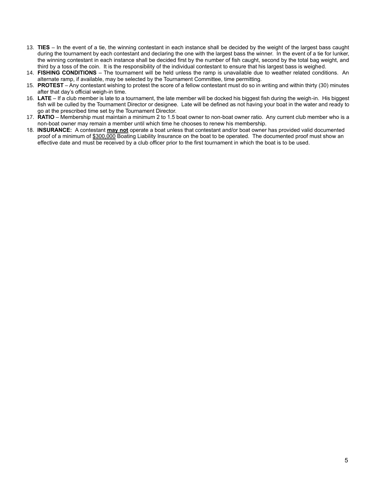- 13. **TIES** In the event of a tie, the winning contestant in each instance shall be decided by the weight of the largest bass caught during the tournament by each contestant and declaring the one with the largest bass the winner. In the event of a tie for lunker, the winning contestant in each instance shall be decided first by the number of fish caught, second by the total bag weight, and third by a toss of the coin. It is the responsibility of the individual contestant to ensure that his largest bass is weighed.
- 14. **FISHING CONDITIONS** The tournament will be held unless the ramp is unavailable due to weather related conditions. An alternate ramp, if available, may be selected by the Tournament Committee, time permitting.
- 15. **PROTEST** Any contestant wishing to protest the score of a fellow contestant must do so in writing and within thirty (30) minutes after that day's official weigh-in time.
- 16. **LATE** If a club member is late to a tournament, the late member will be docked his biggest fish during the weigh-in. His biggest fish will be culled by the Tournament Director or designee. Late will be defined as not having your boat in the water and ready to go at the prescribed time set by the Tournament Director.
- 17. **RATIO** Membership must maintain a minimum 2 to 1.5 boat owner to non-boat owner ratio. Any current club member who is a non-boat owner may remain a member until which time he chooses to renew his membership.
- 18. **INSURANCE:** A contestant **may not** operate a boat unless that contestant and/or boat owner has provided valid documented proof of a minimum of \$300,000 Boating Liability Insurance on the boat to be operated. The documented proof must show an effective date and must be received by a club officer prior to the first tournament in which the boat is to be used.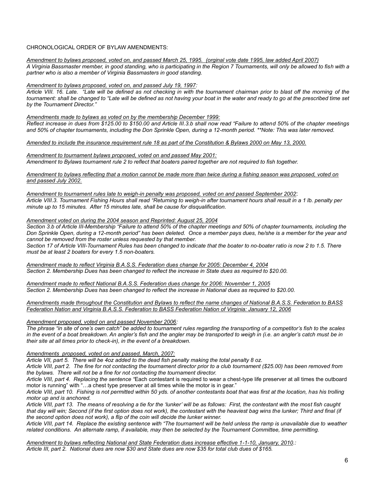# CHRONOLOGICAL ORDER OF BYLAW AMENDMENTS:

# *Amendment to bylaws proposed, voted on, and passed March 25, 1995. (orginal vote date 1995, law added April 2007)*

*A Virginia Bassmaster member, in good standing, who is participating in the Region 7 Tournaments, will only be allowed to fish with a partner who is also a member of Virginia Bassmasters in good standing.*

#### *Amendment to bylaws proposed, voted on, and passed July 19, 1997:*

*Article VIII. 16. Late. "Late will be defined as not checking in with the tournament chairman prior to blast off the morning of the tournament: shall be changed to "Late will be defined as not having your boat in the water and ready to go at the prescribed time set by the Tournament Director."*

*Amendments made to bylaws as voted on by the membership December 1999:*

*Reflect increase in dues from \$125.00 to \$150.00 and Article III.3.b shall now read "Failure to attend 50% of the chapter meetings and 50% of chapter tournaments, including the Don Sprinkle Open, during a 12-month period. \*\*Note: This was later removed.*

#### *Amended to include the insurance requirement rule 18 as part of the Constitution & Bylaws 2000 on May 13, 2000.*

*Amendment to tournament bylaws proposed, voted on and passed May 2001: Amendment to Bylaws tournament rule 2 to reflect that boaters paired together are not required to fish together.*

*Amendment to bylaws reflecting that a motion cannot be made more than twice during a fishing season was proposed, voted on and passed July 2002.*

*Amendment to tournament rules late to weigh-in penalty was proposed, voted on and passed September 2002*: *Article VIII.3. Tournament Fishing Hours shall read "Returning to weigh-in after tournament hours shall result in a 1 lb. penalty per minute up to 15 minutes. After 15 minutes late, shall be cause for disqualification.* 

# *Amendment voted on during the 2004 season and Reprinted: August 25, 2004*

*Section 3.b of Article III-Membership "Failure to attend 50% of the chapter meetings and 50% of chapter tournaments, including the Don Sprinkle Open, during a 12-month period" has been deleted. Once a member pays dues, he/she is a member for the year and cannot be removed from the roster unless requested by that member.*

*Section 17 of Article VIII-Tournament Rules has been changed to indicate that the boater to no-boater ratio is now 2 to 1.5. There must be at least 2 boaters for every 1.5 non-boaters.* 

*Amendment made to reflect Virginia B.A.S.S. Federation dues change for 2005: December 4, 2004 Section 2. Membership Dues has been changed to reflect the increase in State dues as required to \$20.00.*

*Amendment made to reflect National B.A.S.S. Federation dues change for 2006: November 1, 2005 Section 2. Membership Dues has been changed to reflect the increase in National dues as required to \$20.00.*

*Amendments made throughout the Constitution and Bylaws to reflect the name changes of National B.A.S.S. Federation to BASS Federation Nation and Virginia B.A.S.S. Federation to BASS Federation Nation of Virginia: January 12, 2006*

#### *Amendment proposed, voted on and passed November 2006:*

*The phrase "in site of one's own catch" be added to tournament rules regarding the transporting of a competitor's fish to the scales*  in the event of a boat breakdown. An angler's fish and the angler may be transported to weigh in (i.e. an angler's catch must be in *their site at all times prior to check-in), in the event of a breakdown.*

# *Amendments proposed, voted on and passed, March, 2007:*

*Article VII, part 5. There will be 4oz added to the dead fish penalty making the total penalty 8 oz.*

*Article VIII, part 2. The fine for not contacting the tournament director prior to a club tournament (\$25.00) has been removed from the bylaws. There will not be a fine for not contacting the tournament director.* 

*Article VIII, part 4. Replacing the sentence "*Each contestant is required to wear a chest-type life preserver at all times the outboard motor is running" with "…a chest type preserver at all times while the motor is in gear."

*Article VIII, part 10. Fishing is not permitted within 50 yds. of another contestants boat that was first at the location, has his trolling motor up and is anchored.*

*Article VIII, part 13. The means of resolving a tie for the 'lunker' will be as follows: First, the contestant with the most fish caught that day will win; Second (if the first option does not work), the contestant with the heaviest bag wins the lunker; Third and final (if the second option does not work), a flip of the coin will decide the lunker winner.* 

*Article VIII, part 14. Replace the existing sentence with "The tournament will be held unless the ramp is unavailable due to weather related conditions. An alternate ramp, if available, may then be selected by the Tournament Committee, time permitting.*

*Amendment to bylaws reflecting National and State Federation dues increase effective 1-1-10, January, 2010.: Article III, part 2. National dues are now \$30 and State dues are now \$35 for total club dues of \$165.*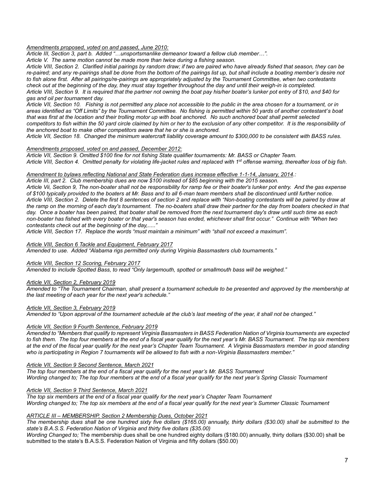# *Amendments proposed, voted on and passed, June 2010:*

*Article III, Section 3, part b. Added "…unsportsmanlike demeanor toward a fellow club member…".*

*Article V. The same motion cannot be made more than twice during a fishing season.*

*Article VIII, Section 2. Clarified initial pairings by random draw; if two are paired who have already fished that season, they can be*  re-paired; and any re-pairings shall be done from the bottom of the pairings list up, but shall include a boating member's desire not *to fish alone first. After all pairings/re-pairings are appropriately adjusted by the Tournament Committee, when two contestants check out at the beginning of the day, they must stay together throughout the day and until their weigh-in is completed. Article VIII, Section 9. It is required that the partner not owning the boat pay his/her boater's lunker pot entry of \$10, and \$40 for gas and oil per tournament day.*

*Article VII, Section 10. Fishing is not permitted any place not accessible to the public in the area chosen for a tournament, or in areas identified as "Off Limits" by the Tournament Committee. No fishing is permitted within 50 yards of another contestant's boat that was first at the location and their trolling motor up with boat anchored. No such anchored boat shall permit selected competitors to fish within the 50 yard circle claimed by him or her to the exclusion of any other competitor. It is the responsibility of the anchored boat to make other competitors aware that he or she is anchored.*

*Article VII, Section 18. Changed the minimum watercraft liability coverage amount to \$300,000 to be consistent with BASS rules.*

#### *Amendments proposed, voted on and passed, December 2012:*

*Article VII, Section 9. Omitted \$100 fine for not fishing State qualifier tournaments: Mr. BASS or Chapter Team. Article VIII, Section 4. Omitted penalty for violating life-jacket rules and replaced with 1st offense warning, thereafter loss of big fish.*

#### *Amendment to bylaws reflecting National and State Federation dues increase effective 1-1-14, January, 2014.:*

*Article III, part 2. Club membership dues are now \$100 instead of \$85 beginning with the 2015 season.*

*Article Vii, Section 9, The non-boater shall not be responsibility for ramp fee or their boater's lunker pot entry. And the gas expense of \$100 typically provided to the boaters at Mr. Bass and to all 6-man team members shall be discontinued until further notice. Article VIII, Section 2. Delete the first 8 sentences of section 2 and replace with "Non-boating contestants will be paired by draw at the ramp on the morning of each day's tournament. The no-boaters shall draw their partner for the day from boaters checked in that day. Once a boater has been paired, that boater shall be removed from the next tournament day's draw until such time as each non-boater has fished with every boater or that year's season has ended, whichever shall first occur." Continue with "When two contestants check out at the beginning of the day,....."*

*Article VIII, Section 17. Replace the words "must maintain a minimum" with "shall not exceed a maximum".*

#### *Article VIII, Section 6 Tackle and Equipment, February 2017*

*Amended to use. Added "Alabama rigs permitted only during Virginia Bassmasters club tournaments."*

#### *Article VIII, Section 12 Scoring, February 2017*

*Amended to include Spotted Bass, to read "Only largemouth, spotted or smallmouth bass will be weighed."*

# *Article VII, Section 2, February 2019*

*Amended to "The Tournament Chairman, shall present a tournament schedule to be presented and approved by the membership at the last meeting of each year for the next year's schedule."*

#### *Article VII, Section 3, February 2019*

*Amended to "Upon approval of the tournament schedule at the club's last meeting of the year, it shall not be changed."*

## *Article VII, Section 9 Fourth Sentence, February 2019*

*Amended to "Members that qualify to represent Virginia Bassmasters in BASS Federation Nation of Virginia tournaments are expected to fish them. The top four members at the end of a fiscal year qualify for the next year's Mr. BASS Tournament. The top six members at the end of the fiscal year qualify for the next year's Chapter Team Tournament. A Virginia Bassmasters member in good standing who is participating in Region 7 tournaments will be allowed to fish with a non-Virginia Bassmasters member."*

## *Article VII, Section 9 Second Sentence, March 2021*

*The top four members at the end of a fiscal year qualify for the next year's Mr. BASS Tournament Wording changed to; The top four members at the end of a fiscal year qualify for the next year's Spring Classic Tournament*

## *Article VII, Section 9 Third Sentence, March 2021*

*The top six members at the end of a fiscal year qualify for the next year's Chapter Team Tournament Wording changed to; The top six members at the end of a fiscal year qualify for the next year's Summer Classic Tournament*

## *ARTICLE III – MEMBERSHIP, Section 2 Membership Dues, October 2021*

*The membership dues shall be one hundred sixty five dollars (\$165.00) annually, thirty dollars (\$30.00) shall be submitted to the state's B.A.S.S. Federation Nation of Virginia and thirty five dollars (\$35.00)*

*Wording Changed to;* The membership dues shall be one hundred eighty dollars (\$180.00) annually, thirty dollars (\$30.00) shall be submitted to the state's B.A.S.S. Federation Nation of Virginia and fifty dollars (\$50.00)